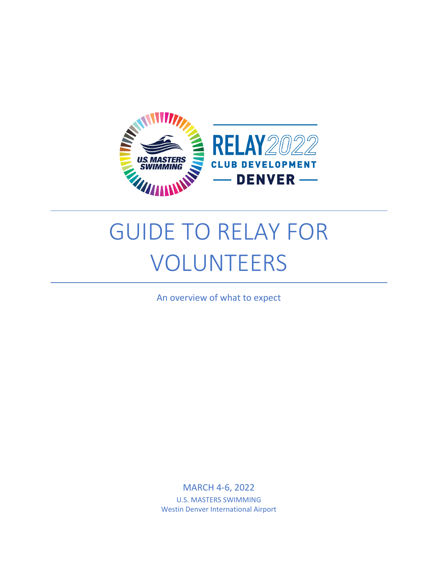

# GUIDE TO RELAY FOR VOLUNTEERS

An overview of what to expect

MARCH 4-6, 2022 U.S. MASTERS SWIMMING Westin Denver International Airport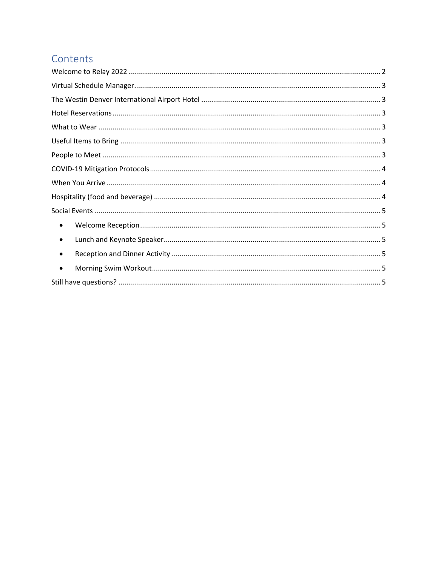# Contents

| $\bullet$ |
|-----------|
| $\bullet$ |
| $\bullet$ |
| $\bullet$ |
|           |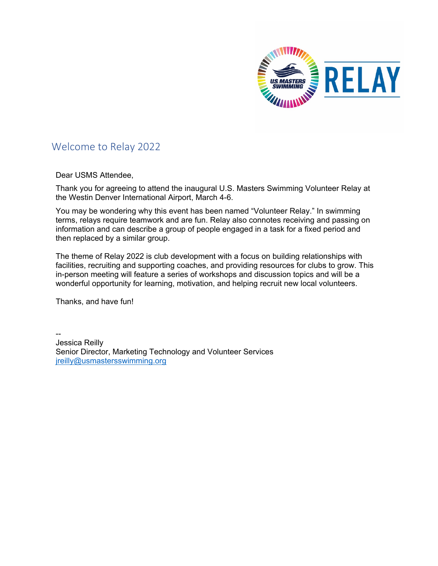

# <span id="page-2-0"></span>Welcome to Relay 2022

Dear USMS Attendee,

Thank you for agreeing to attend the inaugural U.S. Masters Swimming Volunteer Relay at the Westin Denver International Airport, March 4-6.

You may be wondering why this event has been named "Volunteer Relay." In swimming terms, relays require teamwork and are fun. Relay also connotes receiving and passing on information and can describe a group of people engaged in a task for a fixed period and then replaced by a similar group.

The theme of Relay 2022 is club development with a focus on building relationships with facilities, recruiting and supporting coaches, and providing resources for clubs to grow. This in-person meeting will feature a series of workshops and discussion topics and will be a wonderful opportunity for learning, motivation, and helping recruit new local volunteers.

Thanks, and have fun!

-- Jessica Reilly Senior Director, Marketing Technology and Volunteer Services [jreilly@usmastersswimming.org](mailto:jreilly@usmastersswimming.org)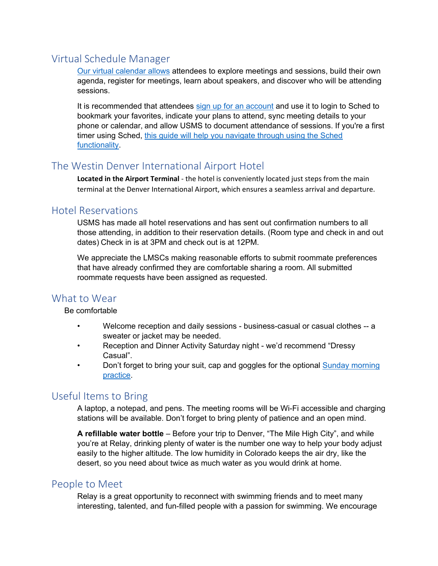# <span id="page-3-0"></span>Virtual Schedule Manager

[Our virtual calendar allows](https://www.usms.org/volunteer-central/lmscs/lmsc-leadership-summit/relay-2022/schedule) attendees to explore meetings and sessions, build their own agenda, register for meetings, learn about speakers, and discover who will be attending sessions.

It is recommended that attendees [sign up for an account](https://relay2022.sched.com/) and use it to login to Sched to bookmark your favorites, indicate your plans to attend, sync meeting details to your phone or calendar, and allow USMS to document attendance of sessions. If you're a first timer using Sched, [this guide will help you navigate through using the Sched](https://usms-cdn.azureedge.net/-/media/usms/pdfs/volunteer%20central/relay/2022/sched_setup_guide.pdf?rev=e2cfd637b5eb4fbfb36a556cd12a562a&hash=48EB9313D659C6C4919C60BA4338FCE3)  [functionality.](https://usms-cdn.azureedge.net/-/media/usms/pdfs/volunteer%20central/relay/2022/sched_setup_guide.pdf?rev=e2cfd637b5eb4fbfb36a556cd12a562a&hash=48EB9313D659C6C4919C60BA4338FCE3)

# <span id="page-3-1"></span>The Westin Denver International Airport Hotel

**Located in the Airport Terminal** - the hotel is conveniently located just steps from the main terminal at the Denver International Airport, which ensures a seamless arrival and departure.

## <span id="page-3-2"></span>Hotel Reservations

USMS has made all hotel reservations and has sent out confirmation numbers to all those attending, in addition to their reservation details. (Room type and check in and out dates) Check in is at 3PM and check out is at 12PM.

We appreciate the LMSCs making reasonable efforts to submit roommate preferences that have already confirmed they are comfortable sharing a room. All submitted roommate requests have been assigned as requested.

# <span id="page-3-3"></span>What to Wear

Be comfortable

- Welcome reception and daily sessions business-casual or casual clothes -- a sweater or jacket may be needed.
- Reception and Dinner Activity Saturday night we'd recommend "Dressy Casual".
- Don't forget to bring your suit, cap and goggles for the optional **Sunday morning** [practice.](https://forms.office.com/r/MYP0ghU3CG)

## <span id="page-3-4"></span>Useful Items to Bring

A laptop, a notepad, and pens. The meeting rooms will be Wi-Fi accessible and charging stations will be available. Don't forget to bring plenty of patience and an open mind.

**A refillable water bottle** – Before your trip to Denver, "The Mile High City", and while you're at Relay, drinking plenty of water is the number one way to help your body adjust easily to the higher altitude. The low humidity in Colorado keeps the air dry, like the desert, so you need about twice as much water as you would drink at home.

## <span id="page-3-5"></span>People to Meet

Relay is a great opportunity to reconnect with swimming friends and to meet many interesting, talented, and fun-filled people with a passion for swimming. We encourage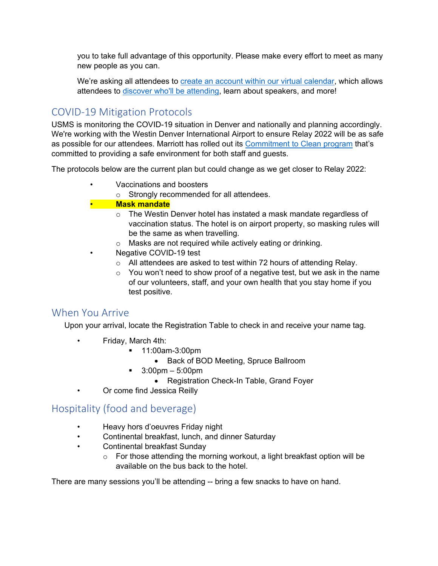you to take full advantage of this opportunity. Please make every effort to meet as many new people as you can.

We're asking all attendees to **create an account within our virtual calendar**, which allows attendees to [discover who'll be attending,](https://relay2022.sched.com/directory/attendee) learn about speakers, and more!

# <span id="page-4-0"></span>COVID-19 Mitigation Protocols

USMS is monitoring the COVID-19 situation in Denver and nationally and planning accordingly. We're working with the Westin Denver International Airport to ensure Relay 2022 will be as safe as possible for our attendees. Marriott has rolled out its [Commitment to Clean program](https://clean.marriott.com/) that's committed to providing a safe environment for both staff and guests.

The protocols below are the current plan but could change as we get closer to Relay 2022:

- Vaccinations and boosters
	- o Strongly recommended for all attendees.

#### • **Mask mandate**

- o The Westin Denver hotel has instated a mask mandate regardless of vaccination status. The hotel is on airport property, so masking rules will be the same as when travelling.
- o Masks are not required while actively eating or drinking.
- Negative COVID-19 test
- o All attendees are asked to test within 72 hours of attending Relay.
- $\circ$  You won't need to show proof of a negative test, but we ask in the name of our volunteers, staff, and your own health that you stay home if you test positive.

## <span id="page-4-1"></span>When You Arrive

Upon your arrival, locate the Registration Table to check in and receive your name tag.

- Friday, March 4th:
	- 11:00am-3:00pm
		- Back of BOD Meeting, Spruce Ballroom
	- $\blacksquare$  3:00pm 5:00pm
		- Registration Check-In Table, Grand Foyer
- Or come find Jessica Reilly

# <span id="page-4-2"></span>Hospitality (food and beverage)

- Heavy hors d'oeuvres Friday night
- Continental breakfast, lunch, and dinner Saturday
- Continental breakfast Sunday
	- o For those attending the morning workout, a light breakfast option will be available on the bus back to the hotel.

There are many sessions you'll be attending -- bring a few snacks to have on hand.